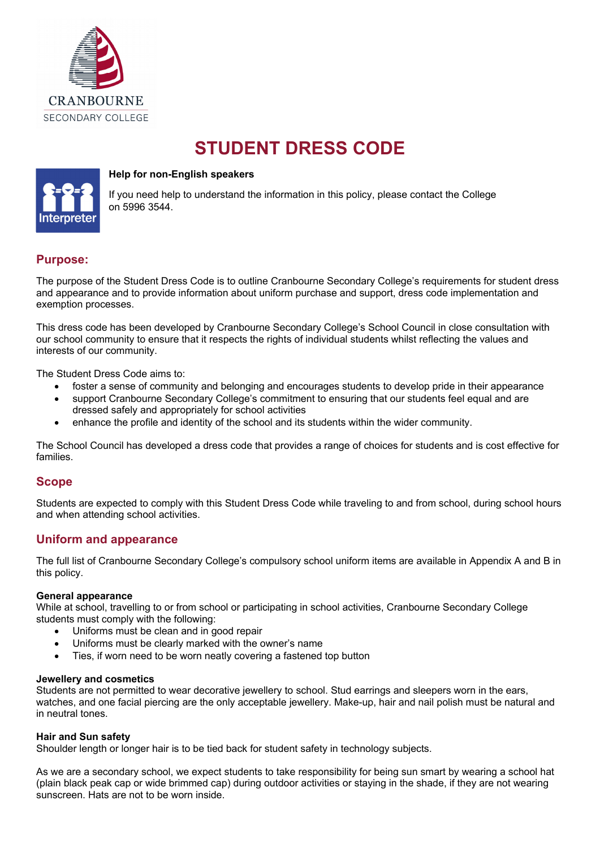

# **STUDENT DRESS CODE**



### **Help for non-English speakers**

If you need help to understand the information in this policy, please contact the College on 5996 3544.

# **Purpose:**

The purpose of the Student Dress Code is to outline Cranbourne Secondary College's requirements for student dress and appearance and to provide information about uniform purchase and support, dress code implementation and exemption processes.

This dress code has been developed by Cranbourne Secondary College's School Council in close consultation with our school community to ensure that it respects the rights of individual students whilst reflecting the values and interests of our community.

The Student Dress Code aims to:

- foster a sense of community and belonging and encourages students to develop pride in their appearance
- support Cranbourne Secondary College's commitment to ensuring that our students feel equal and are dressed safely and appropriately for school activities
- enhance the profile and identity of the school and its students within the wider community.

The School Council has developed a dress code that provides a range of choices for students and is cost effective for families.

# **Scope**

Students are expected to comply with this Student Dress Code while traveling to and from school, during school hours and when attending school activities.

# **Uniform and appearance**

The full list of Cranbourne Secondary College's compulsory school uniform items are available in Appendix A and B in this policy.

#### **General appearance**

While at school, travelling to or from school or participating in school activities, Cranbourne Secondary College students must comply with the following:

- Uniforms must be clean and in good repair
- Uniforms must be clearly marked with the owner's name
- Ties, if worn need to be worn neatly covering a fastened top button

#### **Jewellery and cosmetics**

Students are not permitted to wear decorative jewellery to school. Stud earrings and sleepers worn in the ears, watches, and one facial piercing are the only acceptable jewellery. Make-up, hair and nail polish must be natural and in neutral tones.

#### **Hair and Sun safety**

Shoulder length or longer hair is to be tied back for student safety in technology subjects.

As we are a secondary school, we expect students to take responsibility for being sun smart by wearing a school hat (plain black peak cap or wide brimmed cap) during outdoor activities or staying in the shade, if they are not wearing sunscreen. Hats are not to be worn inside.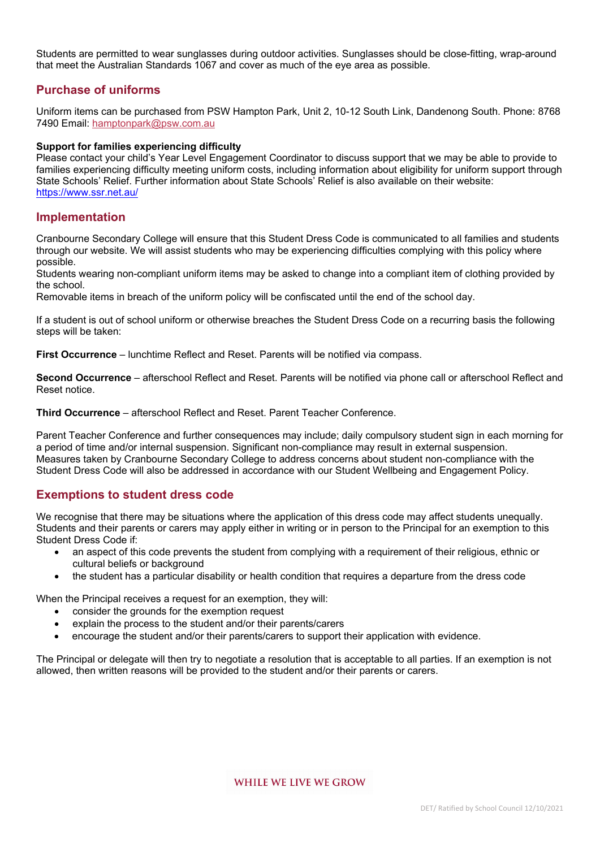Students are permitted to wear sunglasses during outdoor activities. Sunglasses should be close-fitting, wrap-around that meet the Australian Standards 1067 and cover as much of the eye area as possible.

# **Purchase of uniforms**

Uniform items can be purchased from PSW Hampton Park, Unit 2, 10-12 South Link, Dandenong South. Phone: 8768 7490 Email: hamptonpark@psw.com.au

#### **Support for families experiencing difficulty**

Please contact your child's Year Level Engagement Coordinator to discuss support that we may be able to provide to families experiencing difficulty meeting uniform costs, including information about eligibility for uniform support through State Schools' Relief. Further information about State Schools' Relief is also available on their website: https://www.ssr.net.au/

# **Implementation**

Cranbourne Secondary College will ensure that this Student Dress Code is communicated to all families and students through our website. We will assist students who may be experiencing difficulties complying with this policy where possible.

Students wearing non-compliant uniform items may be asked to change into a compliant item of clothing provided by the school.

Removable items in breach of the uniform policy will be confiscated until the end of the school day.

If a student is out of school uniform or otherwise breaches the Student Dress Code on a recurring basis the following steps will be taken:

**First Occurrence** – lunchtime Reflect and Reset. Parents will be notified via compass.

**Second Occurrence** – afterschool Reflect and Reset. Parents will be notified via phone call or afterschool Reflect and Reset notice.

**Third Occurrence** – afterschool Reflect and Reset. Parent Teacher Conference.

Parent Teacher Conference and further consequences may include; daily compulsory student sign in each morning for a period of time and/or internal suspension. Significant non-compliance may result in external suspension. Measures taken by Cranbourne Secondary College to address concerns about student non-compliance with the Student Dress Code will also be addressed in accordance with our Student Wellbeing and Engagement Policy.

# **Exemptions to student dress code**

We recognise that there may be situations where the application of this dress code may affect students unequally. Students and their parents or carers may apply either in writing or in person to the Principal for an exemption to this Student Dress Code if:

- an aspect of this code prevents the student from complying with a requirement of their religious, ethnic or cultural beliefs or background
- the student has a particular disability or health condition that requires a departure from the dress code

When the Principal receives a request for an exemption, they will:

- consider the grounds for the exemption request
- explain the process to the student and/or their parents/carers
- encourage the student and/or their parents/carers to support their application with evidence.

The Principal or delegate will then try to negotiate a resolution that is acceptable to all parties. If an exemption is not allowed, then written reasons will be provided to the student and/or their parents or carers.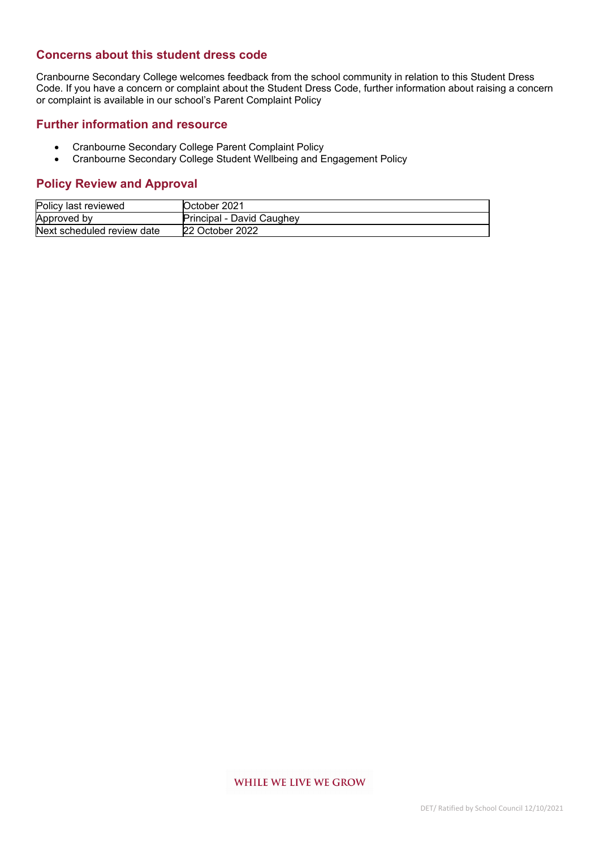# **Concerns about this student dress code**

Cranbourne Secondary College welcomes feedback from the school community in relation to this Student Dress Code. If you have a concern or complaint about the Student Dress Code, further information about raising a concern or complaint is available in our school's Parent Complaint Policy

## **Further information and resource**

- Cranbourne Secondary College Parent Complaint Policy
- Cranbourne Secondary College Student Wellbeing and Engagement Policy

# **Policy Review and Approval**

| Policy last reviewed       | October 2021              |
|----------------------------|---------------------------|
| Approved by                | Principal - David Caughey |
| Next scheduled review date | 22 October 2022           |

#### WHILE WE LIVE WE GROW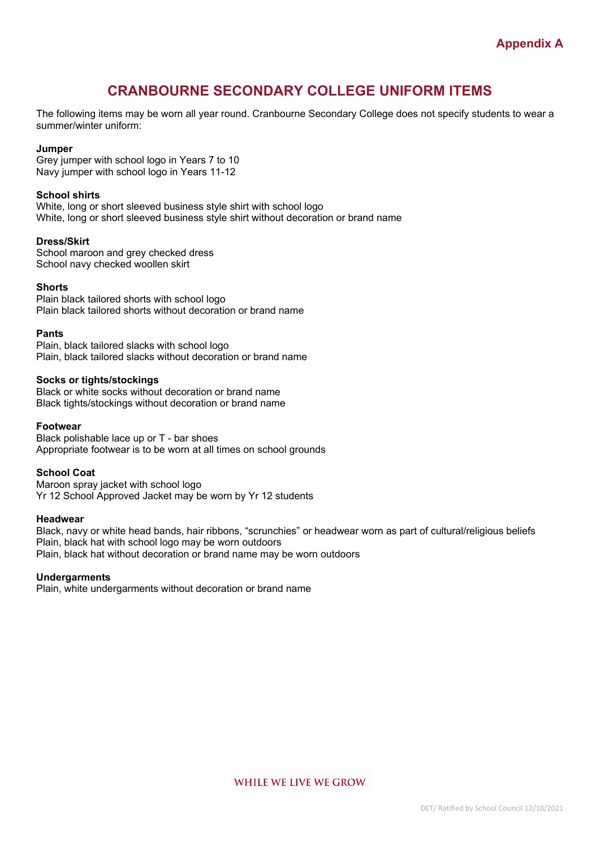# **CRANBOURNE SECONDARY COLLEGE UNIFORM ITEMS**

The following items may be worn all year round. Cranbourne Secondary College does not specify students to wear a summer/winter uniform:

#### **Jumper**

Grey jumper with school logo in Years 7 to 10 Navy jumper with school logo in Years 11-12

#### **School shirts**

White, long or short sleeved business style shirt with school logo White, long or short sleeved business style shirt without decoration or brand name

#### **Dress/Skirt**

School maroon and grey checked dress School navy checked woollen skirt

#### **Shorts**

Plain black tailored shorts with school logo Plain black tailored shorts without decoration or brand name

#### **Pants**

Plain, black tailored slacks with school logo Plain, black tailored slacks without decoration or brand name

#### **Socks or tights/stockings**

Black or white socks without decoration or brand name Black tights/stockings without decoration or brand name

#### **Footwear**

Black polishable lace up or T - bar shoes Appropriate footwear is to be worn at all times on school grounds

#### **School Coat**

Maroon spray jacket with school logo Yr 12 School Approved Jacket may be worn by Yr 12 students

#### **Headwear**

Black, navy or white head bands, hair ribbons, "scrunchies" or headwear worn as part of cultural/religious beliefs Plain, black hat with school logo may be worn outdoors Plain, black hat without decoration or brand name may be worn outdoors

#### **Undergarments**

Plain, white undergarments without decoration or brand name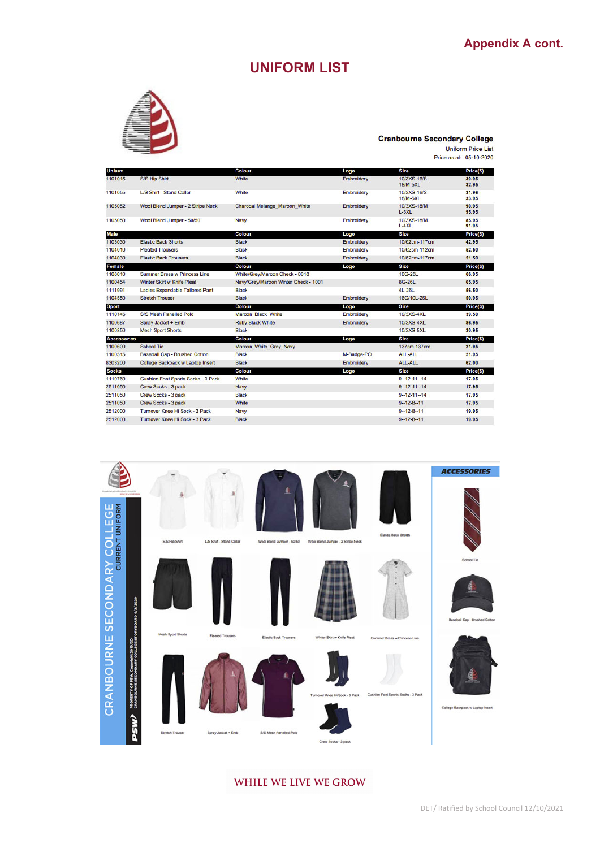# **UNIFORM LIST**



#### **Cranbourne Secondary College**

Uniform Price List<br>Price as at: 05-10-2020

| <b>Unisex</b>      |                                           | Colour                               | Logo       | <b>Size</b>                    | Price(\$)      |
|--------------------|-------------------------------------------|--------------------------------------|------------|--------------------------------|----------------|
| 1101015            | S/S Hip Shirt                             | White                                | Embroidery | 10/3XS-16/S<br>18/M-5XL        | 30.95<br>32.95 |
| 1101055            | L/S Shirt - Stand Collar                  | White                                | Embroidery | 10/3XS-16/S<br><b>18/M-5XL</b> | 31.96<br>33.95 |
| 1105052            | Wool Blend Jumper - 2 Stripe Neck         | Charcoal Melange Maroon White        | Embroidery | 10/3XS-18/M<br>$L-5XL$         | 90.95<br>95.95 |
| 1105050            | Wool Blend Jumper - 50/50                 | Navy                                 | Embroidery | 10/3XS-18/M<br>$L - 4XL$       | 85.95<br>91.95 |
| Male               |                                           | Colour                               | Logo       | <b>Size</b>                    | Price(\$)      |
| 1103030            | <b>Elastic Back Shorts</b>                | <b>Black</b>                         | Embroidery | 10/62cm-117cm                  | 42.95          |
| 1104010            | <b>Pleated Trousers</b>                   | <b>Black</b>                         | Embroidery | 10/62cm-112cm                  | 52.50          |
| 1104030            | <b>Elastic Back Trousers</b>              | <b>Black</b>                         | Embroidery | 10/62cm-117cm                  | 51.50          |
| <b>Female</b>      |                                           | Colour                               | Logo       | <b>Size</b>                    | Price(\$)      |
| 1108010            | <b>Summer Dress w Princess Line</b>       | White/Grey/Maroon Check - 0018       |            | 10G-26L                        | 66.95          |
| 1100454            | Winter Skirt w Knife Pleat                | Navy/Grey/Maroon Winter Check - 1001 |            | 8G-26L                         | 65.95          |
| 1111991            | Ladies Expandable Tailored Pant           | <b>Black</b>                         |            | 4L-26L                         | 56.50          |
| 1104550            | <b>Stretch Trouser</b>                    | <b>Black</b>                         | Embroidery | 16G/10L-26L                    | 50.95          |
| Sport              |                                           | Colour                               | Logo       | Size                           | Price(\$)      |
| 1110145            | S/S Mesh Panelled Polo                    | Maroon Black White                   | Embroidery | 10/3XS-4XL                     | 39.50          |
| 1100687            | Spray Jacket + Emb                        | Ruby-Black-White                     | Embroidery | 10/3XS-4XL                     | 86.95          |
| 1100850            | <b>Mesh Sport Shorts</b>                  | <b>Black</b>                         |            | 10/3XS-5XL                     | 30.95          |
| <b>Accessories</b> |                                           | Colour                               | Logo       | <b>Size</b>                    | Price(\$)      |
| 1100600            | <b>School Tie</b>                         | Maroon White Grey Navy               |            | 137cm-137cm                    | 21.95          |
| 1100515            | <b>Baseball Cap - Brushed Cotton</b>      | <b>Black</b>                         | M-Badge-PO | ALL-ALL                        | 21.95          |
| 8303200            | College Backpack w Laptop Insert          | <b>Black</b>                         | Embroidery | ALL-ALL                        | 62.00          |
| <b>Socks</b>       |                                           | Colour                               | Logo       | <b>Size</b>                    | Price(\$)      |
| 1110760            | <b>Cushion Foot Sports Socks - 3 Pack</b> | White                                |            | $9 - 12 - 11 - 14$             | 17.95          |
| 2511050            | Crew Socks - 3 pack                       | Navy                                 |            | $9 - 12 - 11 - 14$             | 17.95          |
| 2511050            | Crew Socks - 3 pack                       | <b>Black</b>                         |            | $9 - 12 - 11 - 14$             | 17.95          |
| 2511050            | Crew Socks - 3 pack                       | White                                |            | $9 - 12 - 8 - 11$              | 17.95          |
| 2512000            | Turnover Knee Hi Sock - 3 Pack            | Navy                                 |            | $9 - 12 - 8 - 11$              | 19.95          |
| 2512000            | Turnover Knee Hi Sock - 3 Pack            | <b>Black</b>                         |            | $9 - 12 - 8 - 11$              | 19.95          |



### WHILE WE LIVE WE GROW